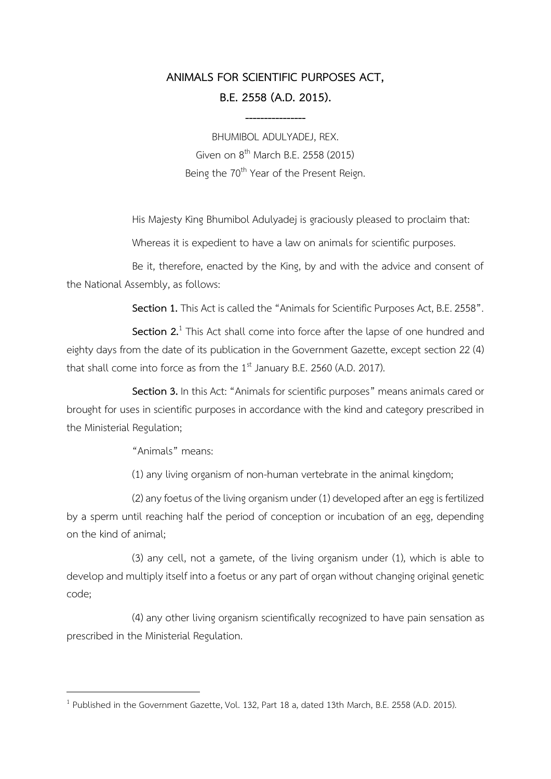# **ANIMALS FOR SCIENTIFIC PURPOSES ACT, B.E. 2558 (A.D. 2015).**

**----------------**

BHUMIBOL ADULYADEJ, REX. Given on 8<sup>th</sup> March B.E. 2558 (2015) Being the 70<sup>th</sup> Year of the Present Reign.

His Majesty King Bhumibol Adulyadej is graciously pleased to proclaim that:

Whereas it is expedient to have a law on animals for scientific purposes.

Be it, therefore, enacted by the King, by and with the advice and consent of the National Assembly, as follows:

Section 1. This Act is called the "Animals for Scientific Purposes Act, B.E. 2558".

Section 2.<sup>1</sup> This Act shall come into force after the lapse of one hundred and eighty days from the date of its publication in the Government Gazette, except section 22 (4) that shall come into force as from the  $1<sup>st</sup>$  January B.E. 2560 (A.D. 2017).

**Section 3.** In this Act: "Animals for scientific purposes" means animals cared or brought for uses in scientific purposes in accordance with the kind and category prescribed in the Ministerial Regulation;

"Animals" means:

1

(1) any living organism of non-human vertebrate in the animal kingdom;

(2) any foetus of the living organism under (1) developed after an egg is fertilized by a sperm until reaching half the period of conception or incubation of an egg, depending on the kind of animal;

(3) any cell, not a gamete, of the living organism under (1), which is able to develop and multiply itself into a foetus or any part of organ without changing original genetic code;

(4) any other living organism scientifically recognized to have pain sensation as prescribed in the Ministerial Regulation.

<sup>&</sup>lt;sup>1</sup> Published in the Government Gazette, Vol. 132, Part 18 a, dated 13th March, B.E. 2558 (A.D. 2015).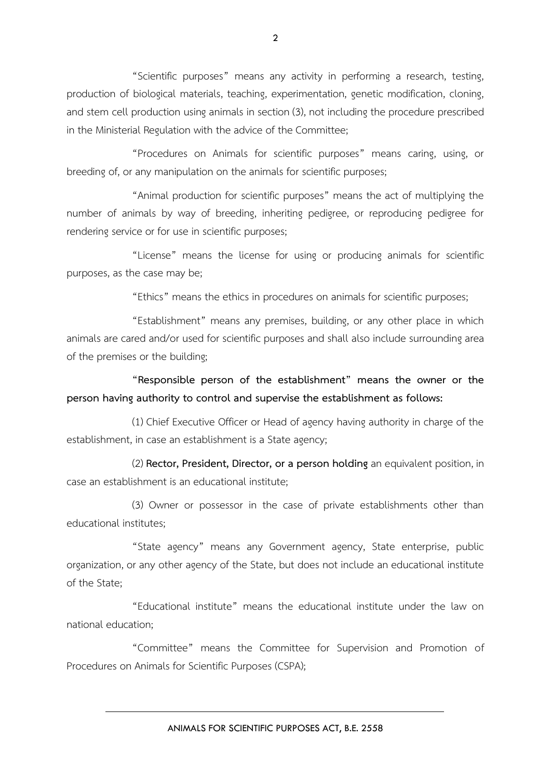"Scientific purposes" means any activity in performing a research, testing, production of biological materials, teaching, experimentation, genetic modification, cloning, and stem cell production using animals in section (3), not including the procedure prescribed in the Ministerial Regulation with the advice of the Committee;

"Procedures on Animals for scientific purposes" means caring, using, or breeding of, or any manipulation on the animals for scientific purposes;

"Animal production for scientific purposes" means the act of multiplying the number of animals by way of breeding, inheriting pedigree, or reproducing pedigree for rendering service or for use in scientific purposes;

"License" means the license for using or producing animals for scientific purposes, as the case may be;

"Ethics" means the ethics in procedures on animals for scientific purposes;

"Establishment" means any premises, building, or any other place in which animals are cared and/or used for scientific purposes and shall also include surrounding area of the premises or the building;

**"Responsible person of the establishment" means the owner or the person having authority to control and supervise the establishment as follows:**

(1) Chief Executive Officer or Head of agency having authority in charge of the establishment, in case an establishment is a State agency;

(2) **Rector, President, Director, or a person holding** an equivalent position, in case an establishment is an educational institute;

(3) Owner or possessor in the case of private establishments other than educational institutes;

"State agency" means any Government agency, State enterprise, public organization, or any other agency of the State, but does not include an educational institute of the State;

"Educational institute" means the educational institute under the law on national education;

"Committee" means the Committee for Supervision and Promotion of Procedures on Animals for Scientific Purposes (CSPA);

ANIMALS FOR SCIENTIFIC PURPOSES ACT, B.E. 2558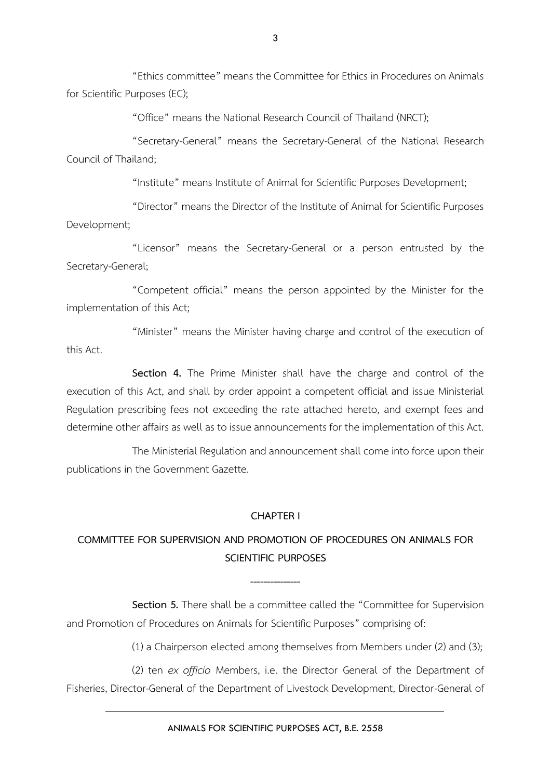"Ethics committee" means the Committee for Ethics in Procedures on Animals for Scientific Purposes (EC);

"Office" means the National Research Council of Thailand (NRCT);

"Secretary-General" means the Secretary-General of the National Research Council of Thailand;

"Institute" means Institute of Animal for Scientific Purposes Development;

"Director" means the Director of the Institute of Animal for Scientific Purposes Development;

"Licensor" means the Secretary-General or a person entrusted by the Secretary-General;

"Competent official" means the person appointed by the Minister for the implementation of this Act;

"Minister" means the Minister having charge and control of the execution of this Act.

**Section 4.** The Prime Minister shall have the charge and control of the execution of this Act, and shall by order appoint a competent official and issue Ministerial Regulation prescribing fees not exceeding the rate attached hereto, and exempt fees and determine other affairs as well as to issue announcements for the implementation of this Act.

The Ministerial Regulation and announcement shall come into force upon their publications in the Government Gazette.

#### **CHAPTER I**

## **COMMITTEE FOR SUPERVISION AND PROMOTION OF PROCEDURES ON ANIMALS FOR SCIENTIFIC PURPOSES**

**Section 5.** There shall be a committee called the "Committee for Supervision and Promotion of Procedures on Animals for Scientific Purposes" comprising of:

**---------------**

(1) a Chairperson elected among themselves from Members under (2) and (3);

(2) ten *ex officio* Members, i.e. the Director General of the Department of Fisheries, Director-General of the Department of Livestock Development, Director-General of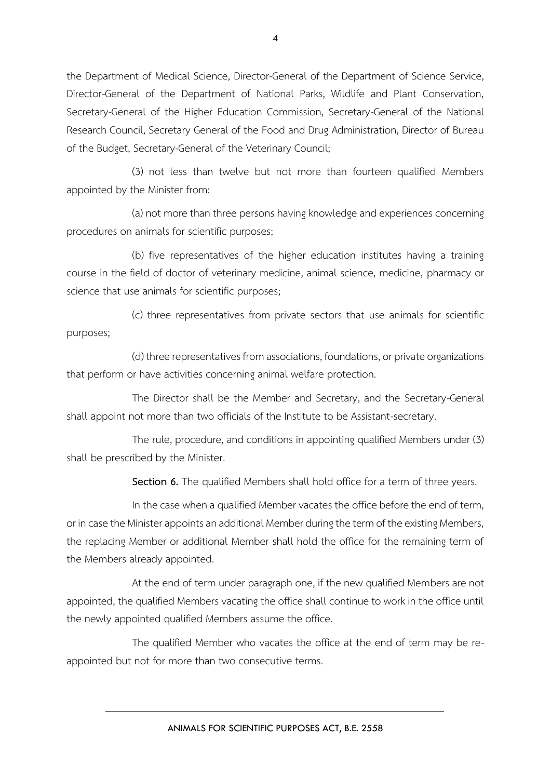the Department of Medical Science, Director-General of the Department of Science Service, Director-General of the Department of National Parks, Wildlife and Plant Conservation, Secretary-General of the Higher Education Commission, Secretary-General of the National Research Council, Secretary General of the Food and Drug Administration, Director of Bureau of the Budget, Secretary-General of the Veterinary Council;

(3) not less than twelve but not more than fourteen qualified Members appointed by the Minister from:

(a) not more than three persons having knowledge and experiences concerning procedures on animals for scientific purposes;

(b) five representatives of the higher education institutes having a training course in the field of doctor of veterinary medicine, animal science, medicine, pharmacy or science that use animals for scientific purposes;

(c) three representatives from private sectors that use animals for scientific purposes;

(d) three representatives from associations, foundations, or private organizations that perform or have activities concerning animal welfare protection.

The Director shall be the Member and Secretary, and the Secretary-General shall appoint not more than two officials of the Institute to be Assistant-secretary.

The rule, procedure, and conditions in appointing qualified Members under (3) shall be prescribed by the Minister.

**Section 6.** The qualified Members shall hold office for a term of three years.

In the case when a qualified Member vacates the office before the end of term, or in case the Minister appoints an additional Member during the term of the existing Members, the replacing Member or additional Member shall hold the office for the remaining term of the Members already appointed.

At the end of term under paragraph one, if the new qualified Members are not appointed, the qualified Members vacating the office shall continue to work in the office until the newly appointed qualified Members assume the office.

The qualified Member who vacates the office at the end of term may be reappointed but not for more than two consecutive terms.

4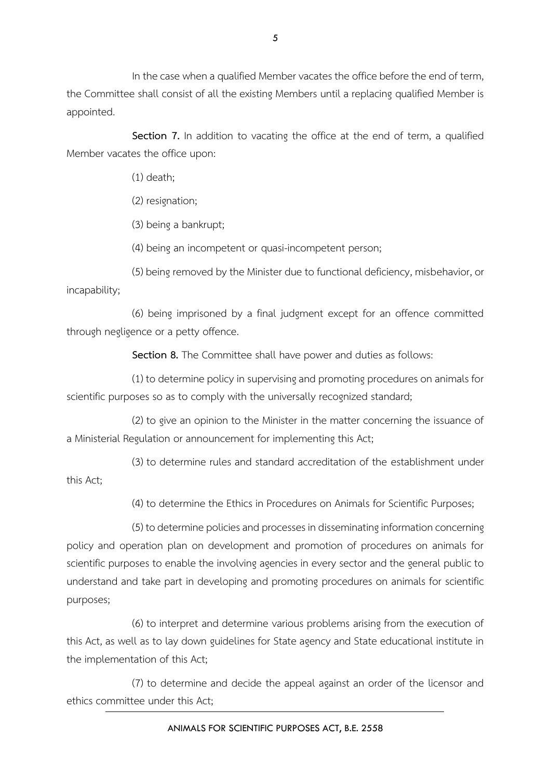In the case when a qualified Member vacates the office before the end of term, the Committee shall consist of all the existing Members until a replacing qualified Member is appointed.

**Section 7.** In addition to vacating the office at the end of term, a qualified Member vacates the office upon:

(1) death;

(2) resignation;

(3) being a bankrupt;

(4) being an incompetent or quasi-incompetent person;

(5) being removed by the Minister due to functional deficiency, misbehavior, or incapability;

(6) being imprisoned by a final judgment except for an offence committed through negligence or a petty offence.

**Section 8.** The Committee shall have power and duties as follows:

(1) to determine policy in supervising and promoting procedures on animals for scientific purposes so as to comply with the universally recognized standard;

(2) to give an opinion to the Minister in the matter concerning the issuance of a Ministerial Regulation or announcement for implementing this Act;

(3) to determine rules and standard accreditation of the establishment under this Act;

(4) to determine the Ethics in Procedures on Animals for Scientific Purposes;

(5) to determine policies and processes in disseminating information concerning policy and operation plan on development and promotion of procedures on animals for scientific purposes to enable the involving agencies in every sector and the general public to understand and take part in developing and promoting procedures on animals for scientific purposes;

(6) to interpret and determine various problems arising from the execution of this Act, as well as to lay down guidelines for State agency and State educational institute in the implementation of this Act;

(7) to determine and decide the appeal against an order of the licensor and ethics committee under this Act;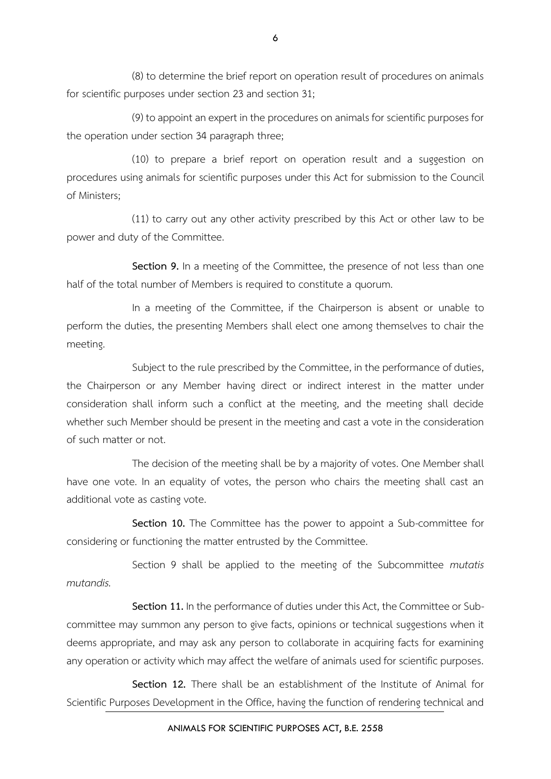(8) to determine the brief report on operation result of procedures on animals for scientific purposes under section 23 and section 31;

(9) to appoint an expert in the procedures on animals for scientific purposes for the operation under section 34 paragraph three;

(10) to prepare a brief report on operation result and a suggestion on procedures using animals for scientific purposes under this Act for submission to the Council of Ministers;

(11) to carry out any other activity prescribed by this Act or other law to be power and duty of the Committee.

**Section 9.** In a meeting of the Committee, the presence of not less than one half of the total number of Members is required to constitute a quorum.

In a meeting of the Committee, if the Chairperson is absent or unable to perform the duties, the presenting Members shall elect one among themselves to chair the meeting.

Subject to the rule prescribed by the Committee, in the performance of duties, the Chairperson or any Member having direct or indirect interest in the matter under consideration shall inform such a conflict at the meeting, and the meeting shall decide whether such Member should be present in the meeting and cast a vote in the consideration of such matter or not.

The decision of the meeting shall be by a majority of votes. One Member shall have one vote. In an equality of votes, the person who chairs the meeting shall cast an additional vote as casting vote.

**Section 10.** The Committee has the power to appoint a Sub-committee for considering or functioning the matter entrusted by the Committee.

Section 9 shall be applied to the meeting of the Subcommittee *mutatis mutandis.* 

**Section 11.** In the performance of duties under this Act, the Committee or Subcommittee may summon any person to give facts, opinions or technical suggestions when it deems appropriate, and may ask any person to collaborate in acquiring facts for examining any operation or activity which may affect the welfare of animals used for scientific purposes.

**Section 12.** There shall be an establishment of the Institute of Animal for Scientific Purposes Development in the Office, having the function of rendering technical and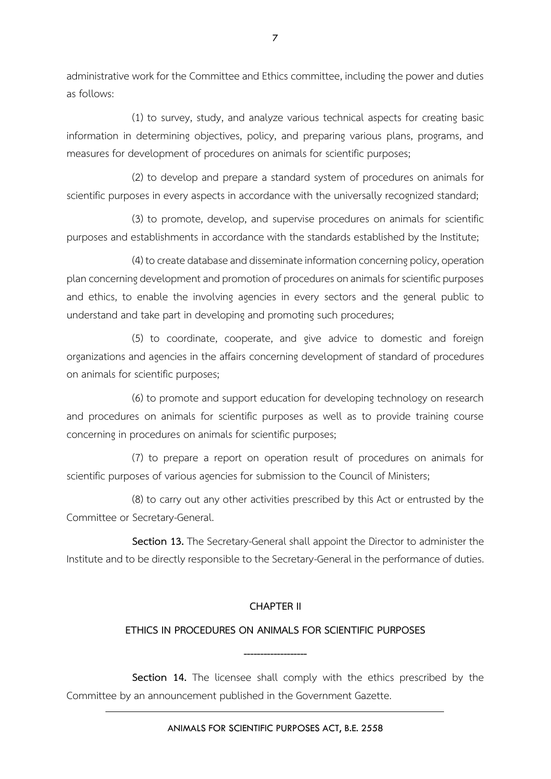administrative work for the Committee and Ethics committee, including the power and duties as follows:

(1) to survey, study, and analyze various technical aspects for creating basic information in determining objectives, policy, and preparing various plans, programs, and measures for development of procedures on animals for scientific purposes;

(2) to develop and prepare a standard system of procedures on animals for scientific purposes in every aspects in accordance with the universally recognized standard;

(3) to promote, develop, and supervise procedures on animals for scientific purposes and establishments in accordance with the standards established by the Institute;

(4) to create database and disseminate information concerning policy, operation plan concerning development and promotion of procedures on animals for scientific purposes and ethics, to enable the involving agencies in every sectors and the general public to understand and take part in developing and promoting such procedures;

(5) to coordinate, cooperate, and give advice to domestic and foreign organizations and agencies in the affairs concerning development of standard of procedures on animals for scientific purposes;

(6) to promote and support education for developing technology on research and procedures on animals for scientific purposes as well as to provide training course concerning in procedures on animals for scientific purposes;

(7) to prepare a report on operation result of procedures on animals for scientific purposes of various agencies for submission to the Council of Ministers;

(8) to carry out any other activities prescribed by this Act or entrusted by the Committee or Secretary-General.

**Section 13.** The Secretary-General shall appoint the Director to administer the Institute and to be directly responsible to the Secretary-General in the performance of duties.

## **CHAPTER II**

#### **ETHICS IN PROCEDURES ON ANIMALS FOR SCIENTIFIC PURPOSES**

**-------------------**

**Section 14.** The licensee shall comply with the ethics prescribed by the Committee by an announcement published in the Government Gazette.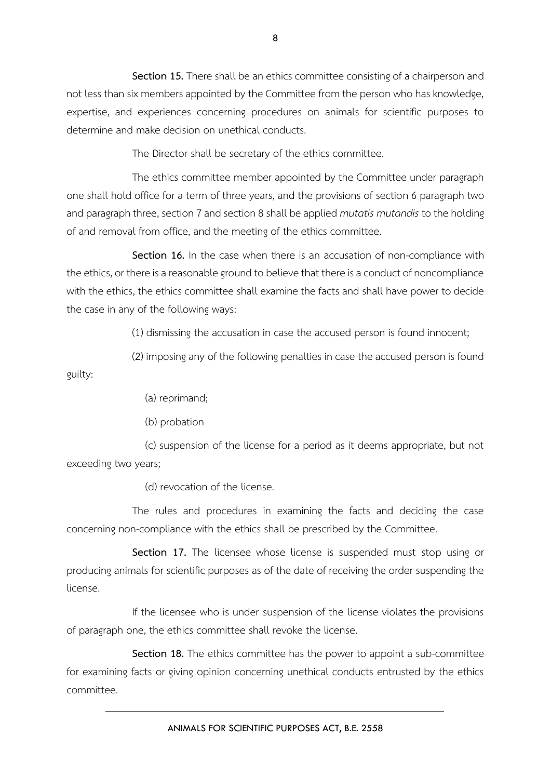**Section 15.** There shall be an ethics committee consisting of a chairperson and not less than six members appointed by the Committee from the person who has knowledge, expertise, and experiences concerning procedures on animals for scientific purposes to determine and make decision on unethical conducts.

The Director shall be secretary of the ethics committee.

The ethics committee member appointed by the Committee under paragraph one shall hold office for a term of three years, and the provisions of section 6 paragraph two and paragraph three, section 7 and section 8 shall be applied *mutatis mutandis* to the holding of and removal from office, and the meeting of the ethics committee.

**Section 16.** In the case when there is an accusation of non-compliance with the ethics, or there is a reasonable ground to believe that there is a conduct of noncompliance with the ethics, the ethics committee shall examine the facts and shall have power to decide the case in any of the following ways:

(1) dismissing the accusation in case the accused person is found innocent;

(2) imposing any of the following penalties in case the accused person is found guilty:

(a) reprimand;

(b) probation

(c) suspension of the license for a period as it deems appropriate, but not exceeding two years;

(d) revocation of the license.

The rules and procedures in examining the facts and deciding the case concerning non-compliance with the ethics shall be prescribed by the Committee.

**Section 17.** The licensee whose license is suspended must stop using or producing animals for scientific purposes as of the date of receiving the order suspending the license.

If the licensee who is under suspension of the license violates the provisions of paragraph one, the ethics committee shall revoke the license.

**Section 18.** The ethics committee has the power to appoint a sub-committee for examining facts or giving opinion concerning unethical conducts entrusted by the ethics committee.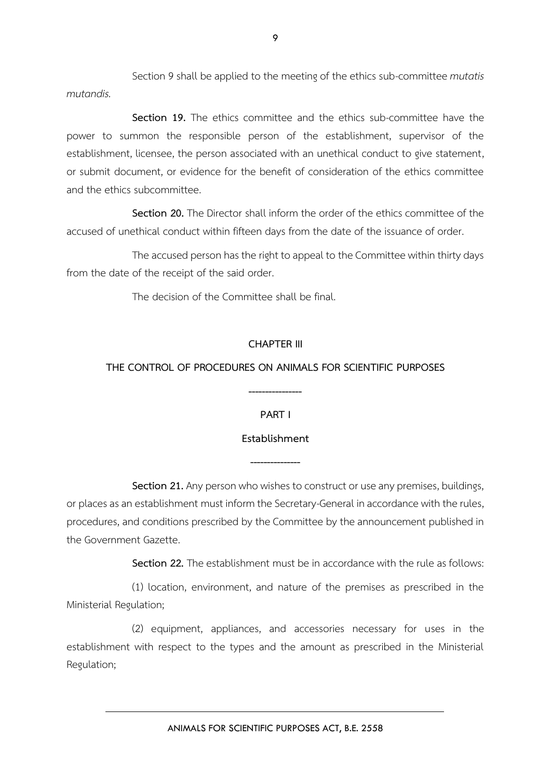Section 9 shall be applied to the meeting of the ethics sub-committee *mutatis mutandis.* 

**Section 19.** The ethics committee and the ethics sub-committee have the power to summon the responsible person of the establishment, supervisor of the establishment, licensee, the person associated with an unethical conduct to give statement, or submit document, or evidence for the benefit of consideration of the ethics committee and the ethics subcommittee.

**Section 20.** The Director shall inform the order of the ethics committee of the accused of unethical conduct within fifteen days from the date of the issuance of order.

The accused person has the right to appeal to the Committee within thirty days from the date of the receipt of the said order.

The decision of the Committee shall be final.

## **CHAPTER III**

## **THE CONTROL OF PROCEDURES ON ANIMALS FOR SCIENTIFIC PURPOSES**

**----------------**

**PART I**

## **Establishment**

**---------------**

**Section 21.** Any person who wishes to construct or use any premises, buildings, or places as an establishment must inform the Secretary-General in accordance with the rules, procedures, and conditions prescribed by the Committee by the announcement published in the Government Gazette.

**Section 22.** The establishment must be in accordance with the rule as follows:

(1) location, environment, and nature of the premises as prescribed in the Ministerial Regulation;

(2) equipment, appliances, and accessories necessary for uses in the establishment with respect to the types and the amount as prescribed in the Ministerial Regulation;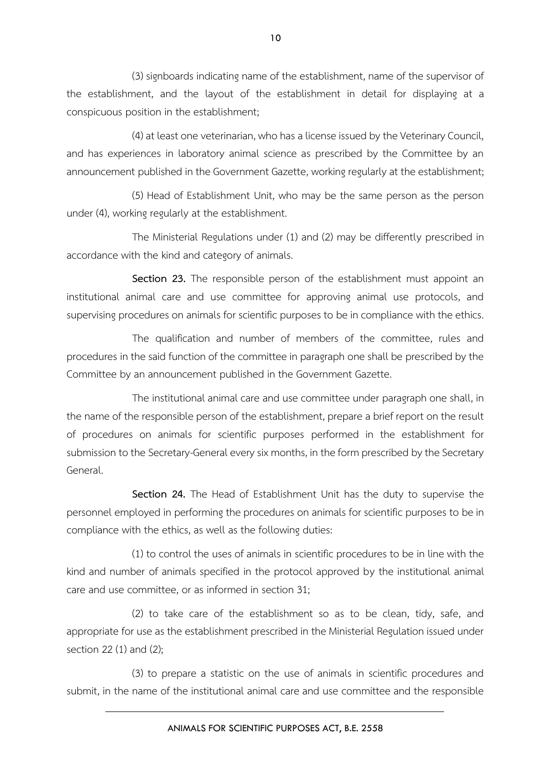(3) signboards indicating name of the establishment, name of the supervisor of the establishment, and the layout of the establishment in detail for displaying at a conspicuous position in the establishment;

(4) at least one veterinarian, who has a license issued by the Veterinary Council, and has experiences in laboratory animal science as prescribed by the Committee by an announcement published in the Government Gazette, working regularly at the establishment;

(5) Head of Establishment Unit, who may be the same person as the person under (4), working regularly at the establishment.

The Ministerial Regulations under (1) and (2) may be differently prescribed in accordance with the kind and category of animals.

**Section 23.** The responsible person of the establishment must appoint an institutional animal care and use committee for approving animal use protocols, and supervising procedures on animals for scientific purposes to be in compliance with the ethics.

The qualification and number of members of the committee, rules and procedures in the said function of the committee in paragraph one shall be prescribed by the Committee by an announcement published in the Government Gazette.

The institutional animal care and use committee under paragraph one shall, in the name of the responsible person of the establishment, prepare a brief report on the result of procedures on animals for scientific purposes performed in the establishment for submission to the Secretary-General every six months, in the form prescribed by the Secretary General.

**Section 24.** The Head of Establishment Unit has the duty to supervise the personnel employed in performing the procedures on animals for scientific purposes to be in compliance with the ethics, as well as the following duties:

(1) to control the uses of animals in scientific procedures to be in line with the kind and number of animals specified in the protocol approved by the institutional animal care and use committee, or as informed in section 31;

(2) to take care of the establishment so as to be clean, tidy, safe, and appropriate for use as the establishment prescribed in the Ministerial Regulation issued under section 22 (1) and (2);

(3) to prepare a statistic on the use of animals in scientific procedures and submit, in the name of the institutional animal care and use committee and the responsible

10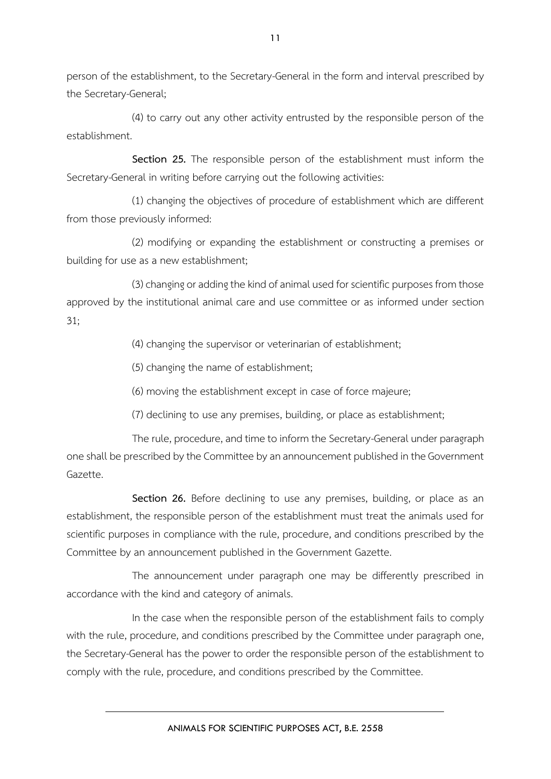person of the establishment, to the Secretary-General in the form and interval prescribed by the Secretary-General;

(4) to carry out any other activity entrusted by the responsible person of the establishment.

**Section 25.** The responsible person of the establishment must inform the Secretary-General in writing before carrying out the following activities:

(1) changing the objectives of procedure of establishment which are different from those previously informed:

(2) modifying or expanding the establishment or constructing a premises or building for use as a new establishment;

(3) changing or adding the kind of animal used for scientific purposes from those approved by the institutional animal care and use committee or as informed under section 31;

(4) changing the supervisor or veterinarian of establishment;

(5) changing the name of establishment;

(6) moving the establishment except in case of force majeure;

(7) declining to use any premises, building, or place as establishment;

The rule, procedure, and time to inform the Secretary-General under paragraph one shall be prescribed by the Committee by an announcement published in the Government Gazette.

**Section 26.** Before declining to use any premises, building, or place as an establishment, the responsible person of the establishment must treat the animals used for scientific purposes in compliance with the rule, procedure, and conditions prescribed by the Committee by an announcement published in the Government Gazette.

The announcement under paragraph one may be differently prescribed in accordance with the kind and category of animals.

In the case when the responsible person of the establishment fails to comply with the rule, procedure, and conditions prescribed by the Committee under paragraph one, the Secretary-General has the power to order the responsible person of the establishment to comply with the rule, procedure, and conditions prescribed by the Committee.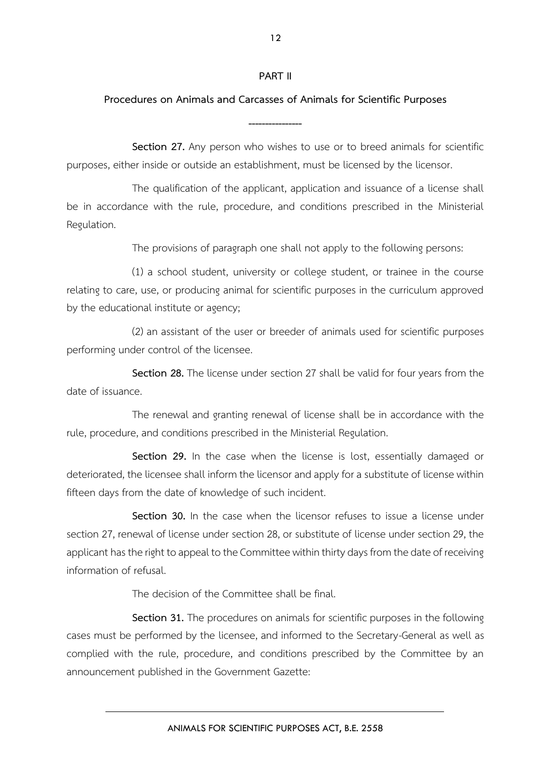## **PART II**

## **Procedures on Animals and Carcasses of Animals for Scientific Purposes**

**----------------**

**Section 27.** Any person who wishes to use or to breed animals for scientific purposes, either inside or outside an establishment, must be licensed by the licensor.

The qualification of the applicant, application and issuance of a license shall be in accordance with the rule, procedure, and conditions prescribed in the Ministerial Regulation.

The provisions of paragraph one shall not apply to the following persons:

(1) a school student, university or college student, or trainee in the course relating to care, use, or producing animal for scientific purposes in the curriculum approved by the educational institute or agency;

(2) an assistant of the user or breeder of animals used for scientific purposes performing under control of the licensee.

**Section 28.** The license under section 27 shall be valid for four years from the date of issuance.

The renewal and granting renewal of license shall be in accordance with the rule, procedure, and conditions prescribed in the Ministerial Regulation.

**Section 29.** In the case when the license is lost, essentially damaged or deteriorated, the licensee shall inform the licensor and apply for a substitute of license within fifteen days from the date of knowledge of such incident.

**Section 30.** In the case when the licensor refuses to issue a license under section 27, renewal of license under section 28, or substitute of license under section 29, the applicant has the right to appeal to the Committee within thirty days from the date of receiving information of refusal.

The decision of the Committee shall be final.

**Section 31.** The procedures on animals for scientific purposes in the following cases must be performed by the licensee, and informed to the Secretary-General as well as complied with the rule, procedure, and conditions prescribed by the Committee by an announcement published in the Government Gazette:

ANIMALS FOR SCIENTIFIC PURPOSES ACT, B.E. 2558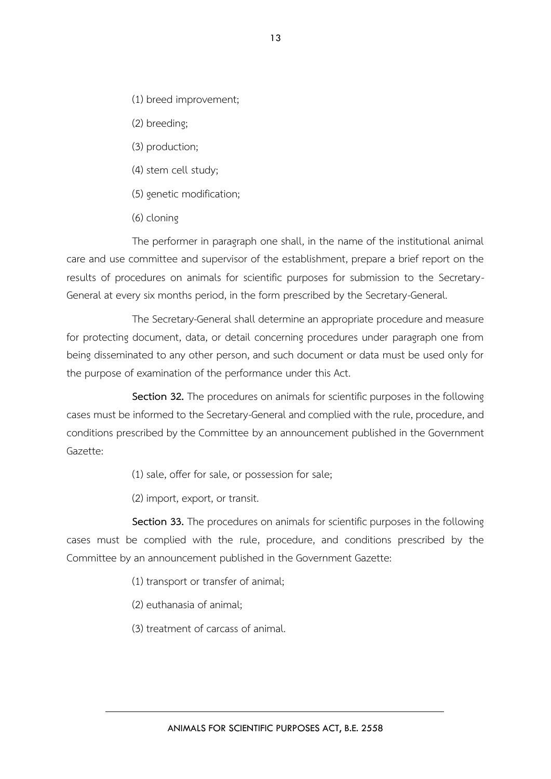- (1) breed improvement;
- (2) breeding;
- (3) production;
- (4) stem cell study;
- (5) genetic modification;
- (6) cloning

The performer in paragraph one shall, in the name of the institutional animal care and use committee and supervisor of the establishment, prepare a brief report on the results of procedures on animals for scientific purposes for submission to the Secretary-General at every six months period, in the form prescribed by the Secretary-General.

The Secretary-General shall determine an appropriate procedure and measure for protecting document, data, or detail concerning procedures under paragraph one from being disseminated to any other person, and such document or data must be used only for the purpose of examination of the performance under this Act.

**Section 32.** The procedures on animals for scientific purposes in the following cases must be informed to the Secretary-General and complied with the rule, procedure, and conditions prescribed by the Committee by an announcement published in the Government Gazette:

- (1) sale, offer for sale, or possession for sale;
- (2) import, export, or transit.

**Section 33.** The procedures on animals for scientific purposes in the following cases must be complied with the rule, procedure, and conditions prescribed by the Committee by an announcement published in the Government Gazette:

- (1) transport or transfer of animal;
- (2) euthanasia of animal;
- (3) treatment of carcass of animal.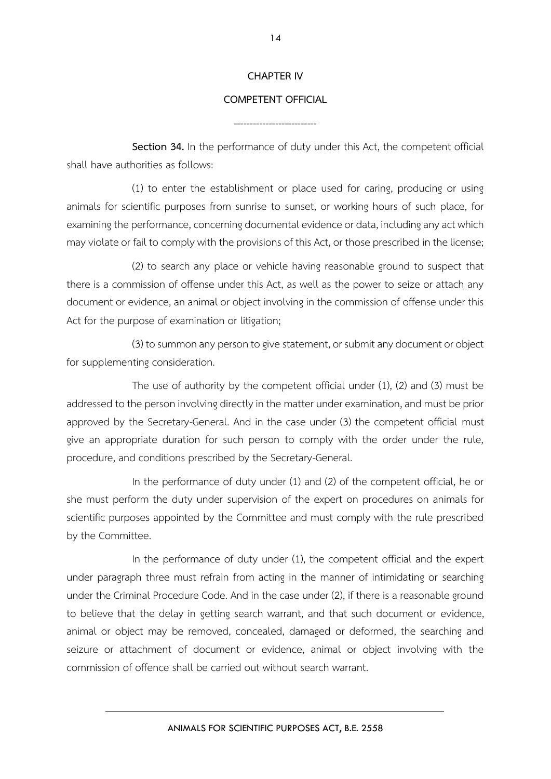#### **CHAPTER IV**

#### **COMPETENT OFFICIAL**

--------------------------

**Section 34.** In the performance of duty under this Act, the competent official shall have authorities as follows:

(1) to enter the establishment or place used for caring, producing or using animals for scientific purposes from sunrise to sunset, or working hours of such place, for examining the performance, concerning documental evidence or data, including any act which may violate or fail to comply with the provisions of this Act, or those prescribed in the license;

(2) to search any place or vehicle having reasonable ground to suspect that there is a commission of offense under this Act, as well as the power to seize or attach any document or evidence, an animal or object involving in the commission of offense under this Act for the purpose of examination or litigation;

(3) to summon any person to give statement, or submit any document or object for supplementing consideration.

The use of authority by the competent official under (1), (2) and (3) must be addressed to the person involving directly in the matter under examination, and must be prior approved by the Secretary-General. And in the case under (3) the competent official must give an appropriate duration for such person to comply with the order under the rule, procedure, and conditions prescribed by the Secretary-General.

In the performance of duty under (1) and (2) of the competent official, he or she must perform the duty under supervision of the expert on procedures on animals for scientific purposes appointed by the Committee and must comply with the rule prescribed by the Committee.

In the performance of duty under (1), the competent official and the expert under paragraph three must refrain from acting in the manner of intimidating or searching under the Criminal Procedure Code. And in the case under (2), if there is a reasonable ground to believe that the delay in getting search warrant, and that such document or evidence, animal or object may be removed, concealed, damaged or deformed, the searching and seizure or attachment of document or evidence, animal or object involving with the commission of offence shall be carried out without search warrant.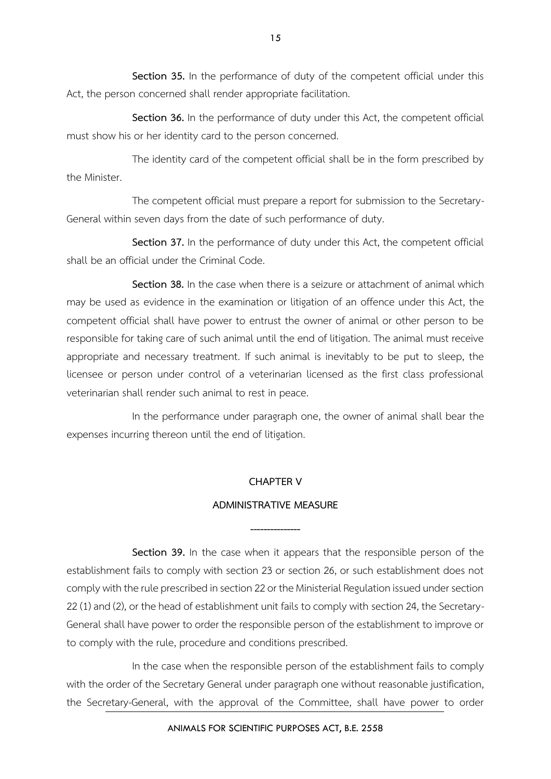**Section 35.** In the performance of duty of the competent official under this Act, the person concerned shall render appropriate facilitation.

**Section 36.** In the performance of duty under this Act, the competent official must show his or her identity card to the person concerned.

The identity card of the competent official shall be in the form prescribed by the Minister.

The competent official must prepare a report for submission to the Secretary-General within seven days from the date of such performance of duty.

**Section 37.** In the performance of duty under this Act, the competent official shall be an official under the Criminal Code.

**Section 38.** In the case when there is a seizure or attachment of animal which may be used as evidence in the examination or litigation of an offence under this Act, the competent official shall have power to entrust the owner of animal or other person to be responsible for taking care of such animal until the end of litigation. The animal must receive appropriate and necessary treatment. If such animal is inevitably to be put to sleep, the licensee or person under control of a veterinarian licensed as the first class professional veterinarian shall render such animal to rest in peace.

In the performance under paragraph one, the owner of animal shall bear the expenses incurring thereon until the end of litigation.

#### **CHAPTER V**

#### **ADMINISTRATIVE MEASURE**

**---------------**

**Section 39.** In the case when it appears that the responsible person of the establishment fails to comply with section 23 or section 26, or such establishment does not comply with the rule prescribed in section 22 or the Ministerial Regulation issued under section 22 (1) and (2), or the head of establishment unit fails to comply with section 24, the Secretary-General shall have power to order the responsible person of the establishment to improve or to comply with the rule, procedure and conditions prescribed.

In the case when the responsible person of the establishment fails to comply with the order of the Secretary General under paragraph one without reasonable justification, the Secretary-General, with the approval of the Committee, shall have power to order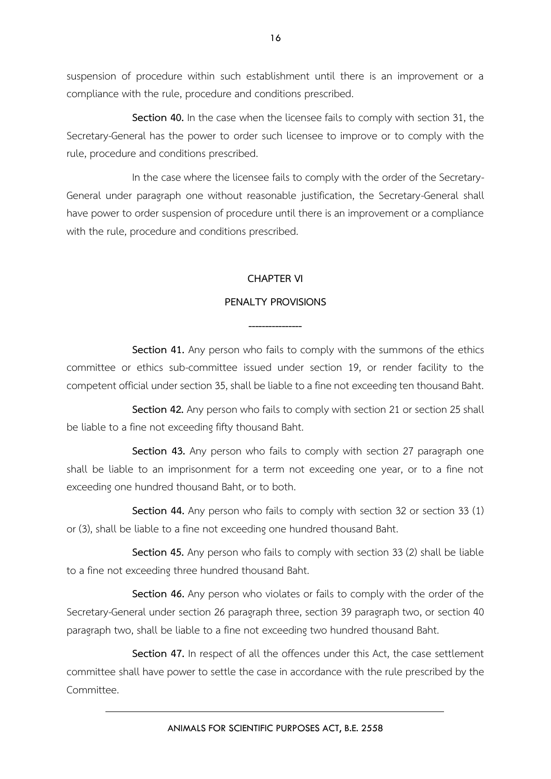suspension of procedure within such establishment until there is an improvement or a compliance with the rule, procedure and conditions prescribed.

**Section 40.** In the case when the licensee fails to comply with section 31, the Secretary-General has the power to order such licensee to improve or to comply with the rule, procedure and conditions prescribed.

In the case where the licensee fails to comply with the order of the Secretary-General under paragraph one without reasonable justification, the Secretary-General shall have power to order suspension of procedure until there is an improvement or a compliance with the rule, procedure and conditions prescribed.

## **CHAPTER VI**

## **PENALTY PROVISIONS**

**----------------**

**Section 41.** Any person who fails to comply with the summons of the ethics committee or ethics sub-committee issued under section 19, or render facility to the competent official under section 35, shall be liable to a fine not exceeding ten thousand Baht.

**Section 42.** Any person who fails to comply with section 21 or section 25 shall be liable to a fine not exceeding fifty thousand Baht.

**Section 43.** Any person who fails to comply with section 27 paragraph one shall be liable to an imprisonment for a term not exceeding one year, or to a fine not exceeding one hundred thousand Baht, or to both.

**Section 44.** Any person who fails to comply with section 32 or section 33 (1) or (3), shall be liable to a fine not exceeding one hundred thousand Baht.

**Section 45.** Any person who fails to comply with section 33 (2) shall be liable to a fine not exceeding three hundred thousand Baht.

**Section 46.** Any person who violates or fails to comply with the order of the Secretary-General under section 26 paragraph three, section 39 paragraph two, or section 40 paragraph two, shall be liable to a fine not exceeding two hundred thousand Baht.

**Section 47.** In respect of all the offences under this Act, the case settlement committee shall have power to settle the case in accordance with the rule prescribed by the Committee.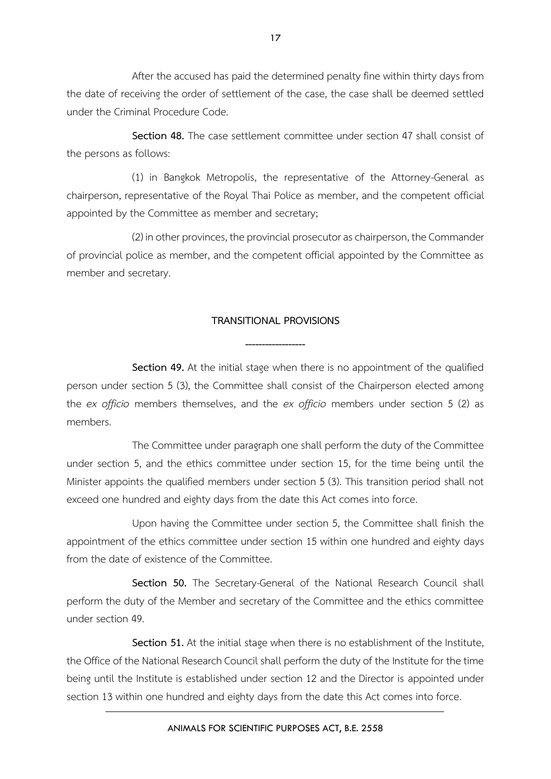After the accused has paid the determined penalty fine within thirty days from the date of receiving the order of settlement of the case, the case shall be deemed settled under the Criminal Procedure Code.

**Section 48.** The case settlement committee under section 47 shall consist of the persons as follows:

(1) in Bangkok Metropolis, the representative of the Attorney-General as chairperson, representative of the Royal Thai Police as member, and the competent official appointed by the Committee as member and secretary;

(2) in other provinces, the provincial prosecutor as chairperson, the Commander of provincial police as member, and the competent official appointed by the Committee as member and secretary.

## **TRANSITIONAL PROVISIONS**

**------------------**

**Section 49.** At the initial stage when there is no appointment of the qualified person under section 5 (3), the Committee shall consist of the Chairperson elected among the *ex officio* members themselves, and the *ex officio* members under section 5 (2) as members.

The Committee under paragraph one shall perform the duty of the Committee under section 5, and the ethics committee under section 15, for the time being until the Minister appoints the qualified members under section 5 (3). This transition period shall not exceed one hundred and eighty days from the date this Act comes into force.

Upon having the Committee under section 5, the Committee shall finish the appointment of the ethics committee under section 15 within one hundred and eighty days from the date of existence of the Committee.

**Section 50.** The Secretary-General of the National Research Council shall perform the duty of the Member and secretary of the Committee and the ethics committee under section 49.

**Section 51.** At the initial stage when there is no establishment of the Institute, the Office of the National Research Council shall perform the duty of the Institute for the time being until the Institute is established under section 12 and the Director is appointed under section 13 within one hundred and eighty days from the date this Act comes into force.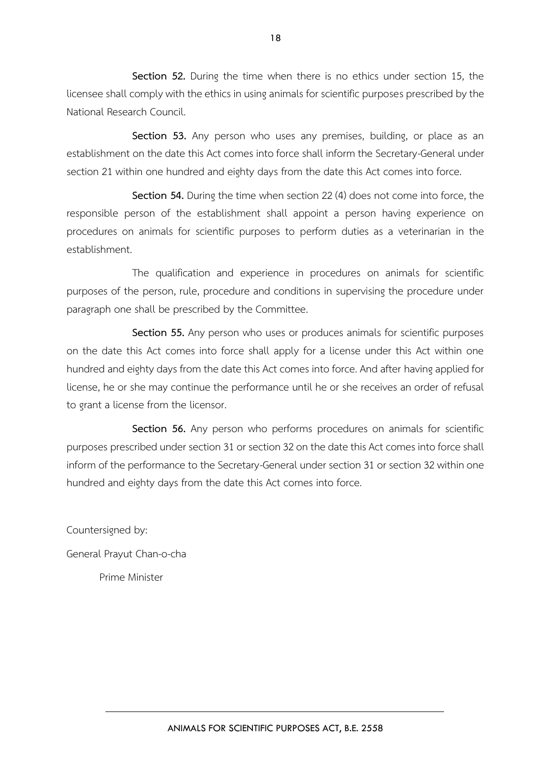**Section 52.** During the time when there is no ethics under section 15, the licensee shall comply with the ethics in using animals for scientific purposes prescribed by the National Research Council.

**Section 53.** Any person who uses any premises, building, or place as an establishment on the date this Act comes into force shall inform the Secretary-General under section 21 within one hundred and eighty days from the date this Act comes into force.

**Section 54.** During the time when section 22 (4) does not come into force, the responsible person of the establishment shall appoint a person having experience on procedures on animals for scientific purposes to perform duties as a veterinarian in the establishment.

The qualification and experience in procedures on animals for scientific purposes of the person, rule, procedure and conditions in supervising the procedure under paragraph one shall be prescribed by the Committee.

**Section 55.** Any person who uses or produces animals for scientific purposes on the date this Act comes into force shall apply for a license under this Act within one hundred and eighty days from the date this Act comes into force. And after having applied for license, he or she may continue the performance until he or she receives an order of refusal to grant a license from the licensor.

**Section 56.** Any person who performs procedures on animals for scientific purposes prescribed under section 31 or section 32 on the date this Act comes into force shall inform of the performance to the Secretary-General under section 31 or section 32 within one hundred and eighty days from the date this Act comes into force.

Countersigned by: General Prayut Chan-o-cha Prime Minister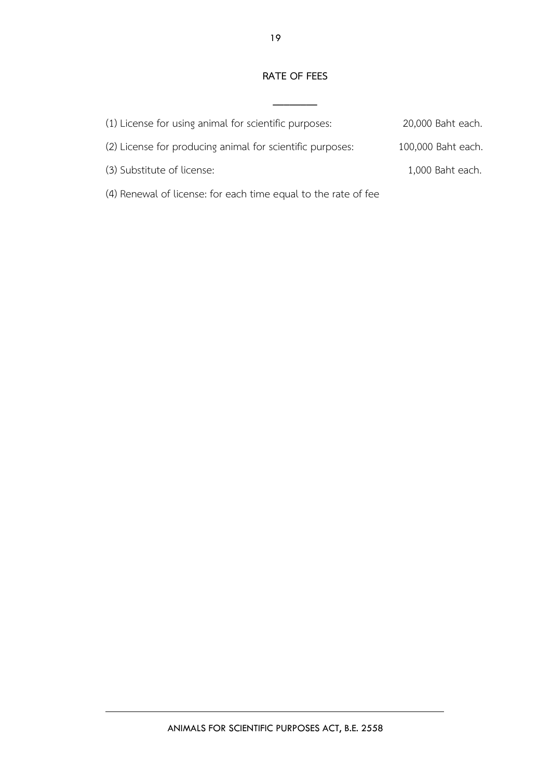#### **RATE OF FEES**

**\_\_\_\_\_\_\_\_**

| (1) License for using animal for scientific purposes:          | 20,000 Baht each.  |
|----------------------------------------------------------------|--------------------|
| (2) License for producing animal for scientific purposes:      | 100,000 Baht each. |
| (3) Substitute of license:                                     | 1,000 Baht each.   |
| (4) Renewal of license: for each time equal to the rate of fee |                    |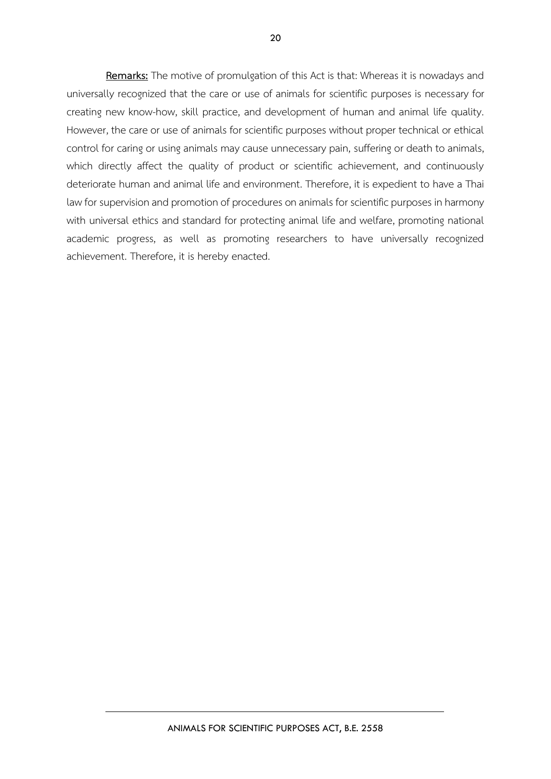**Remarks:** The motive of promulgation of this Act is that: Whereas it is nowadays and universally recognized that the care or use of animals for scientific purposes is necessary for creating new know-how, skill practice, and development of human and animal life quality. However, the care or use of animals for scientific purposes without proper technical or ethical control for caring or using animals may cause unnecessary pain, suffering or death to animals, which directly affect the quality of product or scientific achievement, and continuously deteriorate human and animal life and environment. Therefore, it is expedient to have a Thai law for supervision and promotion of procedures on animals for scientific purposes in harmony with universal ethics and standard for protecting animal life and welfare, promoting national academic progress, as well as promoting researchers to have universally recognized achievement. Therefore, it is hereby enacted.